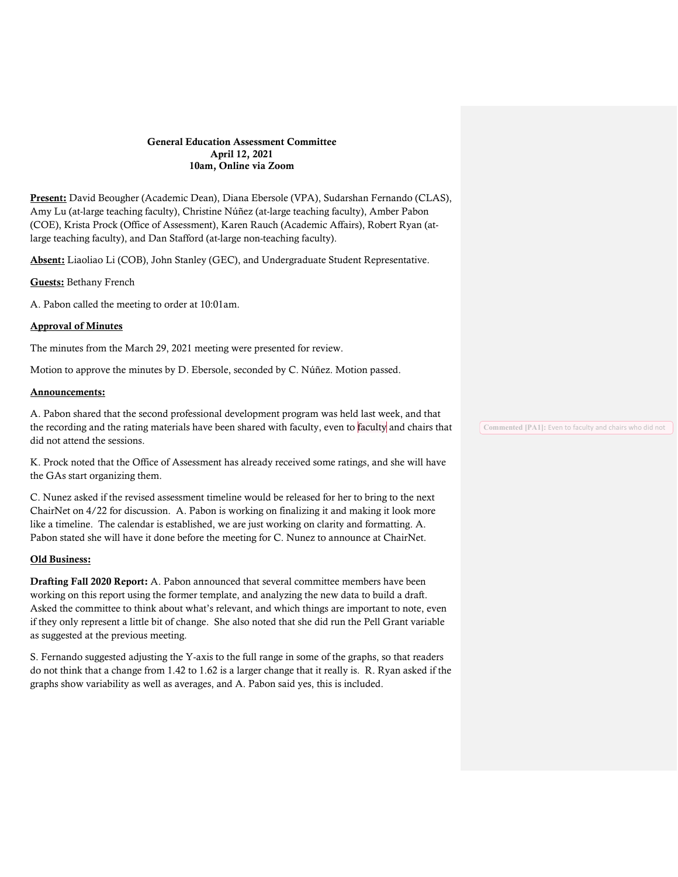#### General Education Assessment Committee April 12, 2021 10am, Online via Zoom

Present: David Beougher (Academic Dean), Diana Ebersole (VPA), Sudarshan Fernando (CLAS), Amy Lu (at-large teaching faculty), Christine Núñez (at-large teaching faculty), Amber Pabon (COE), Krista Prock (Office of Assessment), Karen Rauch (Academic Affairs), Robert Ryan (atlarge teaching faculty), and Dan Stafford (at-large non-teaching faculty).

Absent: Liaoliao Li (COB), John Stanley (GEC), and Undergraduate Student Representative.

Guests: Bethany French

A. Pabon called the meeting to order at 10:01am.

## Approval of Minutes

The minutes from the March 29, 2021 meeting were presented for review.

Motion to approve the minutes by D. Ebersole, seconded by C. Núñez. Motion passed.

### Announcements:

A. Pabon shared that the second professional development program was held last week, and that the recording and the rating materials have been shared with faculty, even to faculty and chairs that Commented [PA1]: Even to faculty and chairs who did not did not attend the sessions.

K. Prock noted that the Office of Assessment has already received some ratings, and she will have the GAs start organizing them.

C. Nunez asked if the revised assessment timeline would be released for her to bring to the next ChairNet on 4/22 for discussion. A. Pabon is working on finalizing it and making it look more like a timeline. The calendar is established, we are just working on clarity and formatting. A. Pabon stated she will have it done before the meeting for C. Nunez to announce at ChairNet.

### Old Business:

Drafting Fall 2020 Report: A. Pabon announced that several committee members have been working on this report using the former template, and analyzing the new data to build a draft. Asked the committee to think about what's relevant, and which things are important to note, even if they only represent a little bit of change. She also noted that she did run the Pell Grant variable as suggested at the previous meeting.

S. Fernando suggested adjusting the Y-axis to the full range in some of the graphs, so that readers do not think that a change from 1.42 to 1.62 is a larger change that it really is. R. Ryan asked if the graphs show variability as well as averages, and A. Pabon said yes, this is included.